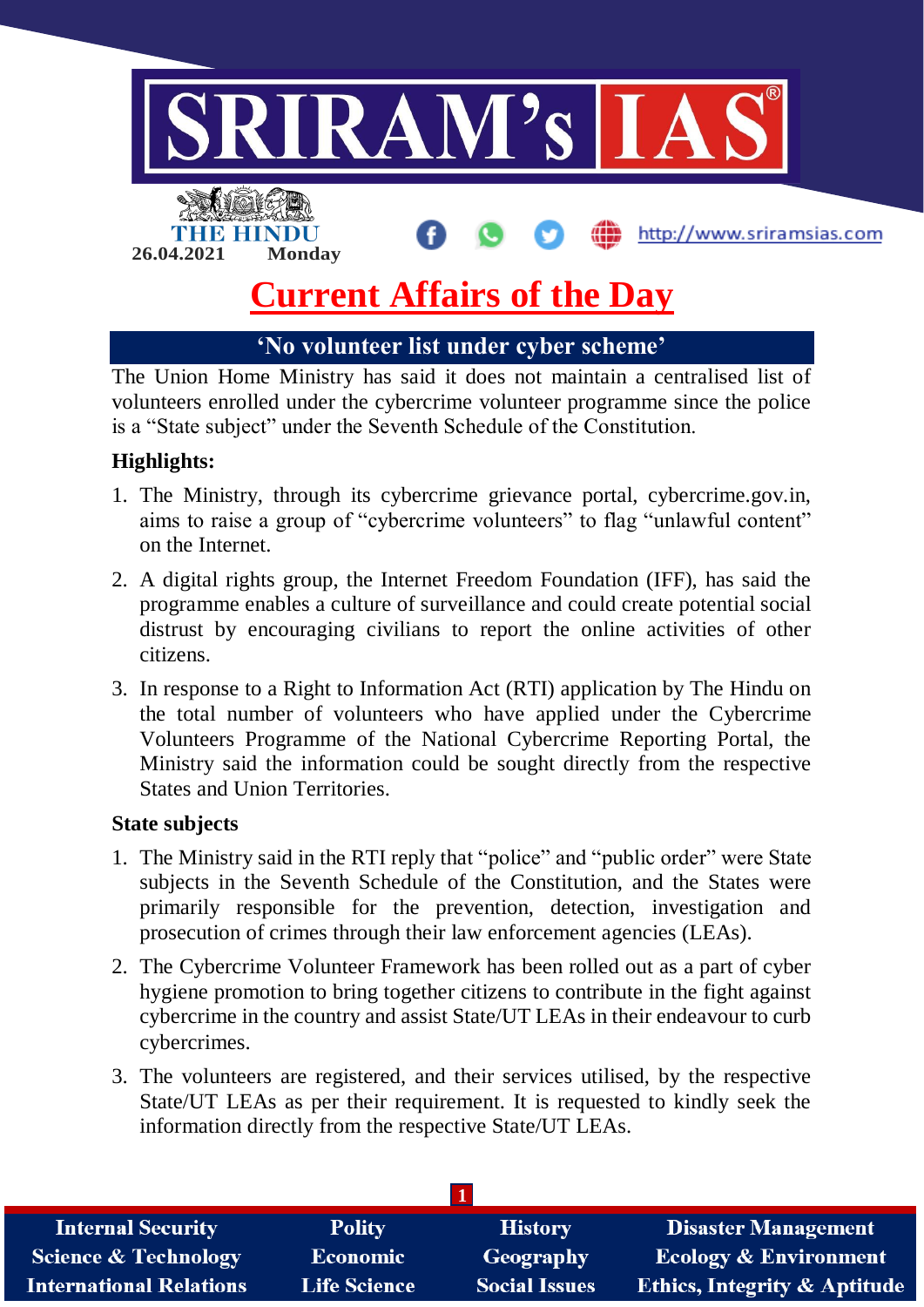

**'No volunteer list under cyber scheme'**

The Union Home Ministry has said it does not maintain a centralised list of volunteers enrolled under the cybercrime volunteer programme since the police is a "State subject" under the Seventh Schedule of the Constitution.

# **Highlights:**

- 1. The Ministry, through its cybercrime grievance portal, cybercrime.gov.in, aims to raise a group of "cybercrime volunteers" to flag "unlawful content" on the Internet.
- 2. A digital rights group, the Internet Freedom Foundation (IFF), has said the programme enables a culture of surveillance and could create potential social distrust by encouraging civilians to report the online activities of other citizens.
- 3. In response to a Right to Information Act (RTI) application by The Hindu on the total number of volunteers who have applied under the Cybercrime Volunteers Programme of the National Cybercrime Reporting Portal, the Ministry said the information could be sought directly from the respective States and Union Territories.

## **State subjects**

- 1. The Ministry said in the RTI reply that "police" and "public order" were State subjects in the Seventh Schedule of the Constitution, and the States were primarily responsible for the prevention, detection, investigation and prosecution of crimes through their law enforcement agencies (LEAs).
- 2. The Cybercrime Volunteer Framework has been rolled out as a part of cyber hygiene promotion to bring together citizens to contribute in the fight against cybercrime in the country and assist State/UT LEAs in their endeavour to curb cybercrimes.
- 3. The volunteers are registered, and their services utilised, by the respective State/UT LEAs as per their requirement. It is requested to kindly seek the information directly from the respective State/UT LEAs.

| <b>Internal Security</b>        | <b>Polity</b>       | <b>History</b>       | <b>Disaster Management</b>              |
|---------------------------------|---------------------|----------------------|-----------------------------------------|
| <b>Science &amp; Technology</b> | <b>Economic</b>     | Geography            | <b>Ecology &amp; Environment</b>        |
| <b>International Relations</b>  | <b>Life Science</b> | <b>Social Issues</b> | <b>Ethics, Integrity &amp; Aptitude</b> |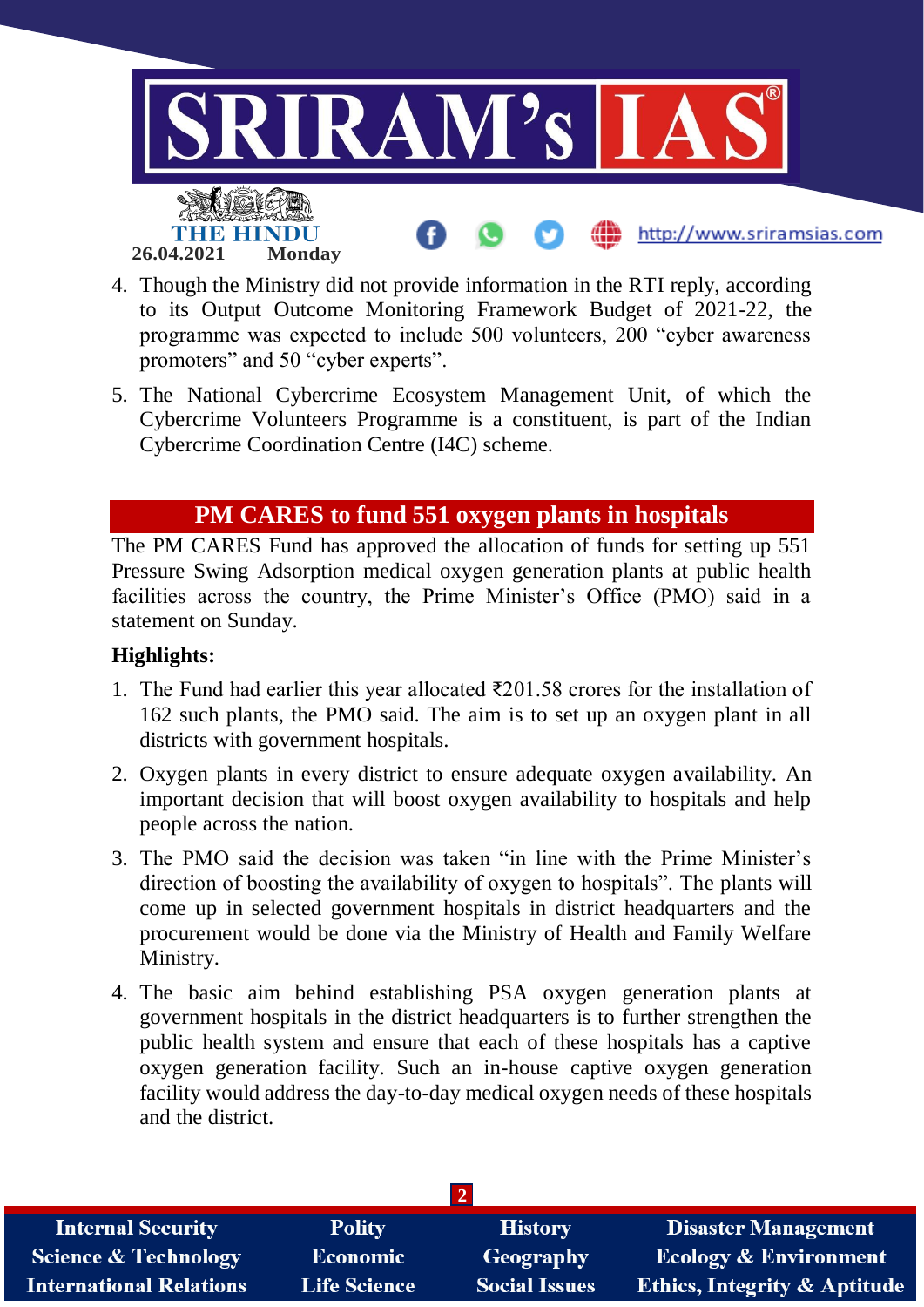

- 4. Though the Ministry did not provide information in the RTI reply, according to its Output Outcome Monitoring Framework Budget of 2021-22, the programme was expected to include 500 volunteers, 200 "cyber awareness promoters" and 50 "cyber experts".
- 5. The National Cybercrime Ecosystem Management Unit, of which the Cybercrime Volunteers Programme is a constituent, is part of the Indian Cybercrime Coordination Centre (I4C) scheme.

# **PM CARES to fund 551 oxygen plants in hospitals**

The PM CARES Fund has approved the allocation of funds for setting up 551 Pressure Swing Adsorption medical oxygen generation plants at public health facilities across the country, the Prime Minister's Office (PMO) said in a statement on Sunday.

#### **Highlights:**

- 1. The Fund had earlier this year allocated ₹201.58 crores for the installation of 162 such plants, the PMO said. The aim is to set up an oxygen plant in all districts with government hospitals.
- 2. Oxygen plants in every district to ensure adequate oxygen availability. An important decision that will boost oxygen availability to hospitals and help people across the nation.
- 3. The PMO said the decision was taken "in line with the Prime Minister's direction of boosting the availability of oxygen to hospitals". The plants will come up in selected government hospitals in district headquarters and the procurement would be done via the Ministry of Health and Family Welfare Ministry.
- 4. The basic aim behind establishing PSA oxygen generation plants at government hospitals in the district headquarters is to further strengthen the public health system and ensure that each of these hospitals has a captive oxygen generation facility. Such an in-house captive oxygen generation facility would address the day-to-day medical oxygen needs of these hospitals and the district.

| <b>Internal Security</b>        | <b>Polity</b>       | <b>History</b>       | <b>Disaster Management</b>              |
|---------------------------------|---------------------|----------------------|-----------------------------------------|
| <b>Science &amp; Technology</b> | <b>Economic</b>     | Geography            | <b>Ecology &amp; Environment</b>        |
| <b>International Relations</b>  | <b>Life Science</b> | <b>Social Issues</b> | <b>Ethics, Integrity &amp; Aptitude</b> |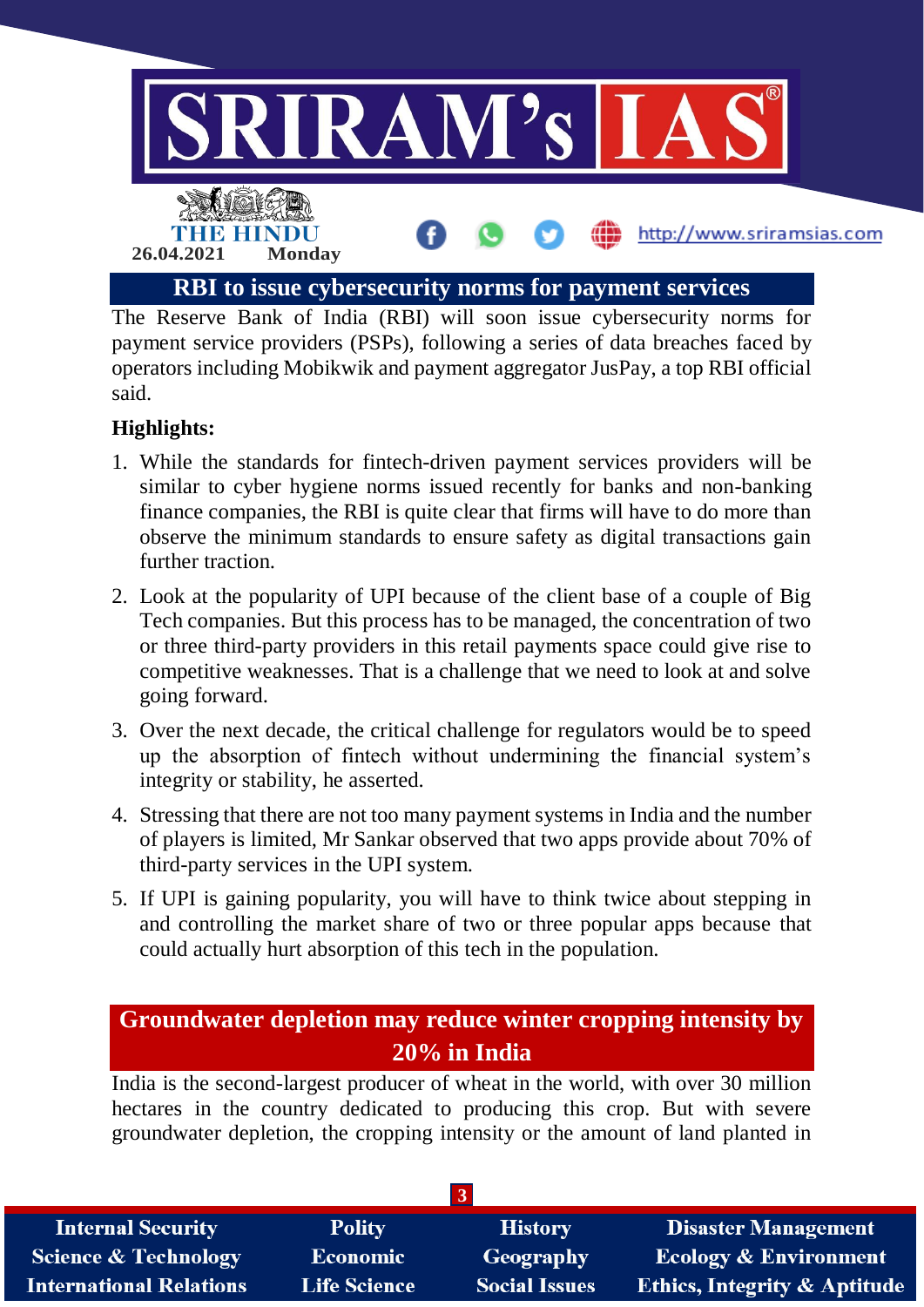

The Reserve Bank of India (RBI) will soon issue cybersecurity norms for payment service providers (PSPs), following a series of data breaches faced by operators including Mobikwik and payment aggregator JusPay, a top RBI official said.

# **Highlights:**

- 1. While the standards for fintech-driven payment services providers will be similar to cyber hygiene norms issued recently for banks and non-banking finance companies, the RBI is quite clear that firms will have to do more than observe the minimum standards to ensure safety as digital transactions gain further traction.
- 2. Look at the popularity of UPI because of the client base of a couple of Big Tech companies. But this process has to be managed, the concentration of two or three third-party providers in this retail payments space could give rise to competitive weaknesses. That is a challenge that we need to look at and solve going forward.
- 3. Over the next decade, the critical challenge for regulators would be to speed up the absorption of fintech without undermining the financial system's integrity or stability, he asserted.
- 4. Stressing that there are not too many payment systems in India and the number of players is limited, Mr Sankar observed that two apps provide about 70% of third-party services in the UPI system.
- 5. If UPI is gaining popularity, you will have to think twice about stepping in and controlling the market share of two or three popular apps because that could actually hurt absorption of this tech in the population.

# **Groundwater depletion may reduce winter cropping intensity by 20% in India**

India is the second-largest producer of wheat in the world, with over 30 million hectares in the country dedicated to producing this crop. But with severe groundwater depletion, the cropping intensity or the amount of land planted in

| <b>Internal Security</b>       | <b>Polity</b>       | <b>History</b>       | <b>Disaster Management</b>              |
|--------------------------------|---------------------|----------------------|-----------------------------------------|
| Science & Technology           | <b>Economic</b>     | Geography            | <b>Ecology &amp; Environment</b>        |
| <b>International Relations</b> | <b>Life Science</b> | <b>Social Issues</b> | <b>Ethics, Integrity &amp; Aptitude</b> |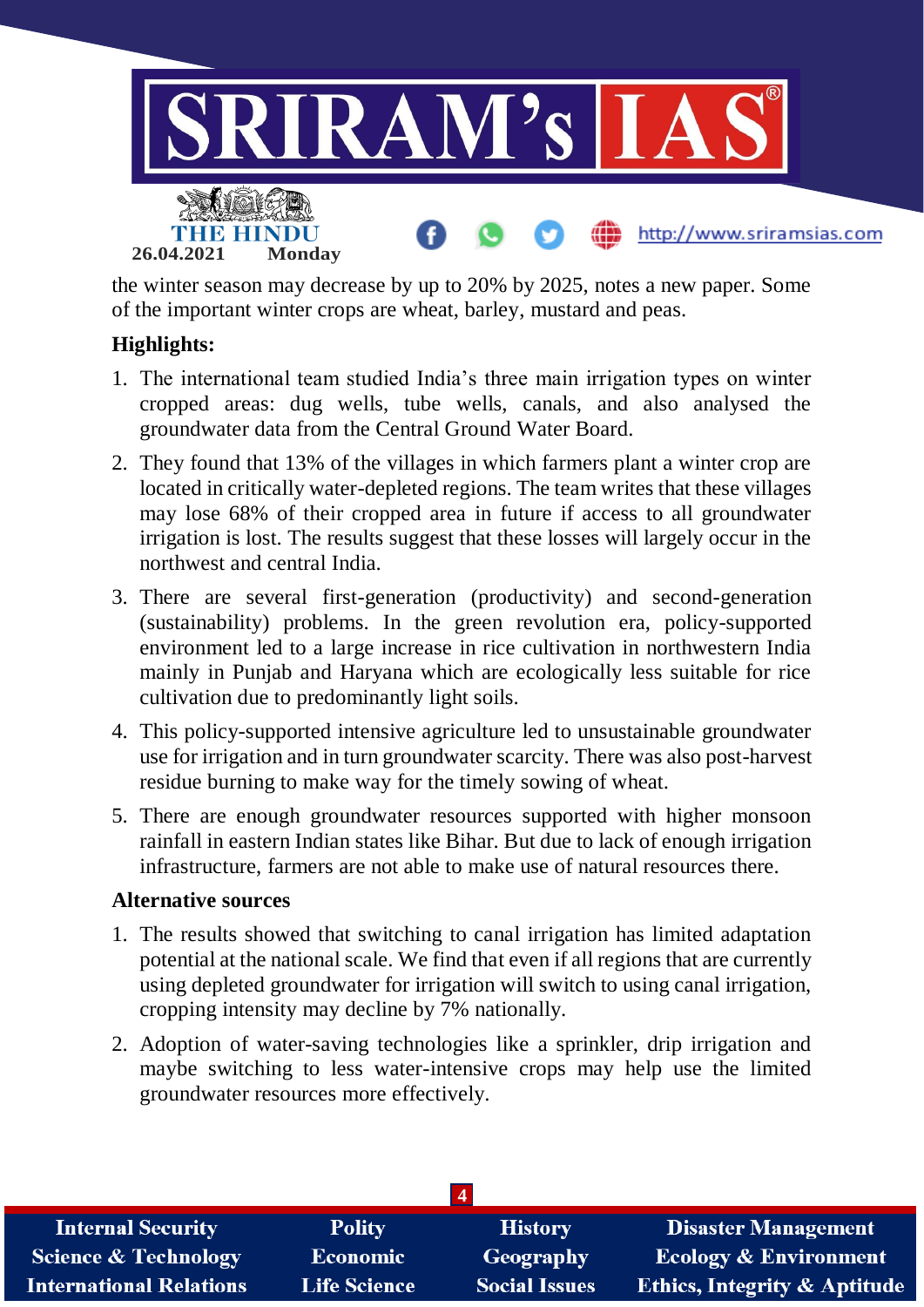

the winter season may decrease by up to 20% by 2025, notes a new paper. Some of the important winter crops are wheat, barley, mustard and peas.

### **Highlights:**

- 1. The international team studied India's three main irrigation types on winter cropped areas: dug wells, tube wells, canals, and also analysed the groundwater data from the Central Ground Water Board.
- 2. They found that 13% of the villages in which farmers plant a winter crop are located in critically water-depleted regions. The team writes that these villages may lose 68% of their cropped area in future if access to all groundwater irrigation is lost. The results suggest that these losses will largely occur in the northwest and central India.
- 3. There are several first-generation (productivity) and second-generation (sustainability) problems. In the green revolution era, policy-supported environment led to a large increase in rice cultivation in northwestern India mainly in Punjab and Haryana which are ecologically less suitable for rice cultivation due to predominantly light soils.
- 4. This policy-supported intensive agriculture led to unsustainable groundwater use for irrigation and in turn groundwater scarcity. There was also post-harvest residue burning to make way for the timely sowing of wheat.
- 5. There are enough groundwater resources supported with higher monsoon rainfall in eastern Indian states like Bihar. But due to lack of enough irrigation infrastructure, farmers are not able to make use of natural resources there.

#### **Alternative sources**

- 1. The results showed that switching to canal irrigation has limited adaptation potential at the national scale. We find that even if all regions that are currently using depleted groundwater for irrigation will switch to using canal irrigation, cropping intensity may decline by 7% nationally.
- 2. Adoption of water-saving technologies like a sprinkler, drip irrigation and maybe switching to less water-intensive crops may help use the limited groundwater resources more effectively.

| <b>Internal Security</b>        | <b>Polity</b>       | <b>History</b>       | <b>Disaster Management</b>              |
|---------------------------------|---------------------|----------------------|-----------------------------------------|
| <b>Science &amp; Technology</b> | <b>Economic</b>     | Geography            | <b>Ecology &amp; Environment</b>        |
| <b>International Relations</b>  | <b>Life Science</b> | <b>Social Issues</b> | <b>Ethics, Integrity &amp; Aptitude</b> |